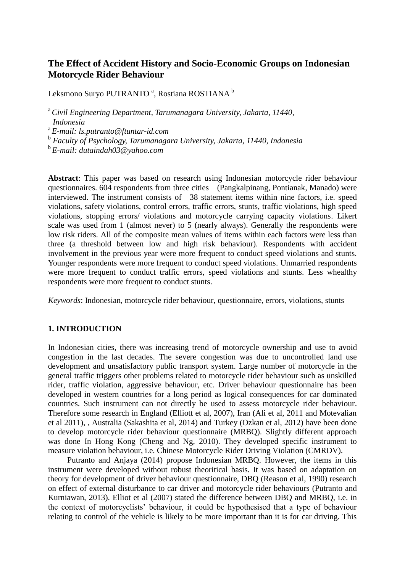# **The Effect of Accident History and Socio-Economic Groups on Indonesian Motorcycle Rider Behaviour**

Leksmono Suryo PUTRANTO <sup>a</sup>, Rostiana ROSTIANA <sup>b</sup>

<sup>a</sup> *Civil Engineering Department, Tarumanagara University, Jakarta, 11440, Indonesia*

a *E-mail: ls.putranto@ftuntar-id.com*

b *Faculty of Psychology, Tarumanagara University, Jakarta, 11440, Indonesia*

b *E-mail: dutaindah03@yahoo.com*

**Abstract**: This paper was based on research using Indonesian motorcycle rider behaviour questionnaires. 604 respondents from three cities (Pangkalpinang, Pontianak, Manado) were interviewed. The instrument consists of 38 statement items within nine factors, i.e. speed violations, safety violations, control errors, traffic errors, stunts, traffic violations, high speed violations, stopping errors/ violations and motorcycle carrying capacity violations. Likert scale was used from 1 (almost never) to 5 (nearly always). Generally the respondents were low risk riders. All of the composite mean values of items within each factors were less than three (a threshold between low and high risk behaviour). Respondents with accident involvement in the previous year were more frequent to conduct speed violations and stunts. Younger respondents were more frequent to conduct speed violations. Unmarried respondents were more frequent to conduct traffic errors, speed violations and stunts. Less whealthy respondents were more frequent to conduct stunts.

*Keywords*: Indonesian, motorcycle rider behaviour, questionnaire, errors, violations, stunts

#### **1. INTRODUCTION**

In Indonesian cities, there was increasing trend of motorcycle ownership and use to avoid congestion in the last decades. The severe congestion was due to uncontrolled land use development and unsatisfactory public transport system. Large number of motorcycle in the general traffic triggers other problems related to motorcycle rider behaviour such as unskilled rider, traffic violation, aggressive behaviour, etc. Driver behaviour questionnaire has been developed in western countries for a long period as logical consequences for car dominated countries. Such instrument can not directly be used to assess motorcycle rider behaviour. Therefore some research in England (Elliott et al, 2007), Iran (Ali et al, 2011 and Motevalian et al 2011), , Australia (Sakashita et al, 2014) and Turkey (Ozkan et al, 2012) have been done to develop motorcycle rider behaviour questionnaire (MRBQ). Slightly different approach was done In Hong Kong (Cheng and Ng, 2010). They developed specific instrument to measure violation behaviour, i.e. Chinese Motorcycle Rider Driving Violation (CMRDV).

Putranto and Anjaya (2014) propose Indonesian MRBQ. However, the items in this instrument were developed without robust theoritical basis. It was based on adaptation on theory for development of driver behaviour questionnaire, DBQ (Reason et al, 1990) research on effect of external disturbance to car driver and motorcycle rider behaviours (Putranto and Kurniawan, 2013). Elliot et al (2007) stated the difference between DBQ and MRBQ, i.e. in the context of motorcyclists' behaviour, it could be hypothesised that a type of behaviour relating to control of the vehicle is likely to be more important than it is for car driving. This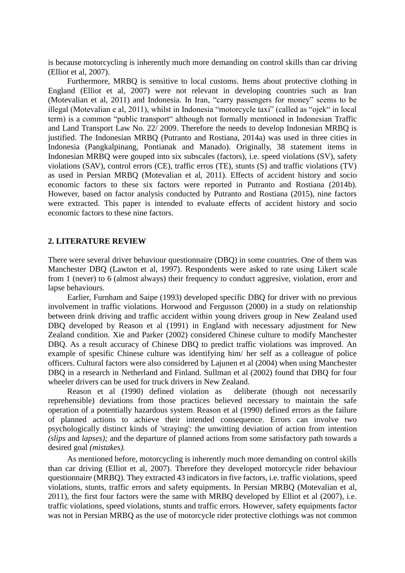is because motorcycling is inherently much more demanding on control skills than car driving (Elliot et al, 2007).

Furthermore, MRBQ is sensitive to local customs. Items about protective clothing in England (Elliot et al, 2007) were not relevant in developing countries such as Iran (Motevalian et al, 2011) and Indonesia. In Iran, "carry passengers for money" seems to be illegal (Motevalian e al, 2011), whilst in Indonesia "motorcycle taxi" (called as "ojek" in local term) is a common "public transport" although not formally mentioned in Indonesian Traffic and Land Transport Law No. 22/ 2009. Therefore the needs to develop Indonesian MRBQ is justified. The Indonesian MRBQ (Putranto and Rostiana, 2014a) was used in three cities in Indonesia (Pangkalpinang, Pontianak and Manado). Originally, 38 statement items in Indonesian MRBQ were gouped into six subscales (factors), i.e. speed violations (SV), safety violations (SAV), control errors (CE), traffic erros (TE), stunts (S) and traffic violations (TV) as used in Persian MRBQ (Motevalian et al, 2011). Effects of accident history and socio economic factors to these six factors were reported in Putranto and Rostiana (2014b). However, based on factor analysis conducted by Putranto and Rostiana (2015), nine factors were extracted. This paper is intended to evaluate effects of accident history and socio economic factors to these nine factors.

#### **2. LITERATURE REVIEW**

There were several driver behaviour questionnaire (DBQ) in some countries. One of them was Manchester DBQ (Lawton et al, 1997). Respondents were asked to rate using Likert scale from 1 (never) to 6 (almost always) their frequency to conduct aggresive, violation, erorr and lapse behaviours.

Earlier, Furnham and Saipe (1993) developed specific DBQ for driver with no previous involvement in traffic violations. Horwood and Fergusson (2000) in a study on relationship between drink driving and traffic accident within young drivers group in New Zealand used DBQ developed by Reason et al (1991) in England with necessary adjustment for New Zealand condition. Xie and Parker (2002) considered Chinese culture to modify Manchester DBQ. As a result accuracy of Chinese DBQ to predict traffic violations was improved. An example of spesific Chinese culture was identifying him/ her self as a colleague of police officers. Cultural factors were also considered by Lajunen et al (2004) when using Manchester DBQ in a research in Netherland and Finland. Sullman et al (2002) found that DBQ for four wheeler drivers can be used for truck drivers in New Zealand.

Reason et al (1990) defined violation as deliberate (though not necessarily reprehensible) deviations from those practices believed necessary to maintain the safe operation of a potentially hazardous system. Reason et al (1990) defined errors as the failure of planned actions to achieve their intended consequence. Errors can involve two psychologically distinct kinds of 'straying': the unwitting deviation of action from intention *(slips* and *lapses);* and the departure of planned actions from some satisfactory path towards a desired goal *(mistakes).*

As mentioned before, motorcycling is inherently much more demanding on control skills than car driving (Elliot et al, 2007). Therefore they developed motorcycle rider behaviour questionnaire (MRBQ). They extracted 43 indicators in five factors, i.e. traffic violations, speed violations, stunts, traffic errors and safety equipments. In Persian MRBQ (Motevalian et al, 2011), the first four factors were the same with MRBQ developed by Elliot et al (2007), i.e. traffic violations, speed violations, stunts and traffic errors. However, safety equipments factor was not in Persian MRBQ as the use of motorcycle rider protective clothings was not common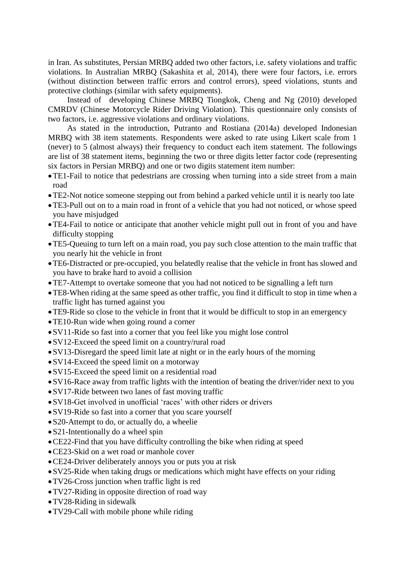in Iran. As substitutes, Persian MRBQ added two other factors, i.e. safety violations and traffic violations. In Australian MRBQ (Sakashita et al, 2014), there were four factors, i.e. errors (without distinction between traffic errors and control errors), speed violations, stunts and protective clothings (similar with safety equipments).

Instead of developing Chinese MRBQ Tiongkok, Cheng and Ng (2010) developed CMRDV (Chinese Motorcycle Rider Driving Violation). This questionnaire only consists of two factors, i.e. aggressive violations and ordinary violations.

As stated in the introduction, Putranto and Rostiana (2014a) developed Indonesian MRBQ with 38 item statements. Respondents were asked to rate using Likert scale from 1 (never) to 5 (almost always) their frequency to conduct each item statement. The followings are list of 38 statement items, beginning the two or three digits letter factor code (representing six factors in Persian MRBQ) and one or two digits statement item number:

- TE1-Fail to notice that pedestrians are crossing when turning into a side street from a main road
- TE2-Not notice someone stepping out from behind a parked vehicle until it is nearly too late
- TE3-Pull out on to a main road in front of a vehicle that you had not noticed, or whose speed you have misjudged
- TE4-Fail to notice or anticipate that another vehicle might pull out in front of you and have difficulty stopping
- TE5-Queuing to turn left on a main road, you pay such close attention to the main traffic that you nearly hit the vehicle in front
- TE6-Distracted or pre-occupied, you belatedly realise that the vehicle in front has slowed and you have to brake hard to avoid a collision
- TE7-Attempt to overtake someone that you had not noticed to be signalling a left turn
- TE8-When riding at the same speed as other traffic, you find it difficult to stop in time when a traffic light has turned against you
- TE9-Ride so close to the vehicle in front that it would be difficult to stop in an emergency
- TE10-Run wide when going round a corner
- SV11-Ride so fast into a corner that you feel like you might lose control
- SV12-Exceed the speed limit on a country/rural road
- SV13-Disregard the speed limit late at night or in the early hours of the morning
- SV14-Exceed the speed limit on a motorway
- SV15-Exceed the speed limit on a residential road
- SV16-Race away from traffic lights with the intention of beating the driver/rider next to you
- SV17-Ride between two lanes of fast moving traffic
- SV18-Get involved in unofficial 'races' with other riders or drivers
- SV19-Ride so fast into a corner that you scare yourself
- S20-Attempt to do, or actually do, a wheelie
- S21-Intentionally do a wheel spin
- CE22-Find that you have difficulty controlling the bike when riding at speed
- CE23-Skid on a wet road or manhole cover
- CE24-Driver deliberately annoys you or puts you at risk
- SV25-Ride when taking drugs or medications which might have effects on your riding
- TV26-Cross junction when traffic light is red
- TV27-Riding in opposite direction of road way
- TV28-Riding in sidewalk
- TV29-Call with mobile phone while riding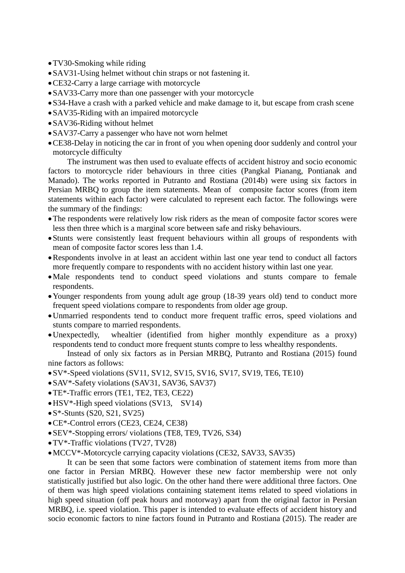- TV30-Smoking while riding
- SAV31-Using helmet without chin straps or not fastening it.
- CE32-Carry a large carriage with motorcycle
- SAV33-Carry more than one passenger with your motorcycle
- S34-Have a crash with a parked vehicle and make damage to it, but escape from crash scene
- SAV35-Riding with an impaired motorcycle
- SAV36-Riding without helmet
- SAV37-Carry a passenger who have not worn helmet
- CE38-Delay in noticing the car in front of you when opening door suddenly and control your motorcycle difficulty

The instrument was then used to evaluate effects of accident histroy and socio economic factors to motorcycle rider behaviours in three cities (Pangkal Pianang, Pontianak and Manado). The works reported in Putranto and Rostiana (2014b) were using six factors in Persian MRBQ to group the item statements. Mean of composite factor scores (from item statements within each factor) were calculated to represent each factor. The followings were the summary of the findings:

- The respondents were relatively low risk riders as the mean of composite factor scores were less then three which is a marginal score between safe and risky behaviours.
- Stunts were consistently least frequent behaviours within all groups of respondents with mean of composite factor scores less than 1.4.
- Respondents involve in at least an accident within last one year tend to conduct all factors more frequently compare to respondents with no accident history within last one year.
- Male respondents tend to conduct speed violations and stunts compare to female respondents.
- Younger respondents from young adult age group (18-39 years old) tend to conduct more frequent speed violations compare to respondents from older age group.
- Unmarried respondents tend to conduct more frequent traffic erros, speed violations and stunts compare to married respondents.
- Unexpectedly, whealtier (identified from higher monthly expenditure as a proxy) respondents tend to conduct more frequent stunts compre to less whealthy respondents.

Instead of only six factors as in Persian MRBQ, Putranto and Rostiana (2015) found nine factors as follows:

- SV\*-Speed violations (SV11, SV12, SV15, SV16, SV17, SV19, TE6, TE10)
- SAV\*-Safety violations (SAV31, SAV36, SAV37)
- TE\*-Traffic errors (TE1, TE2, TE3, CE22)
- HSV\*-High speed violations (SV13, SV14)
- $\bullet$  S<sup>\*</sup>-Stunts (S20, S21, SV25)
- CE\*-Control errors (CE23, CE24, CE38)
- SEV\*-Stopping errors/ violations (TE8, TE9, TV26, S34)
- TV\*-Traffic violations (TV27, TV28)
- MCCV\*-Motorcycle carrying capacity violations (CE32, SAV33, SAV35)

It can be seen that some factors were combination of statement items from more than one factor in Persian MRBQ. However these new factor membership were not only statistically justified but also logic. On the other hand there were additional three factors. One of them was high speed violations containing statement items related to speed violations in high speed situation (off peak hours and motorway) apart from the original factor in Persian MRBQ, i.e. speed violation. This paper is intended to evaluate effects of accident history and socio economic factors to nine factors found in Putranto and Rostiana (2015). The reader are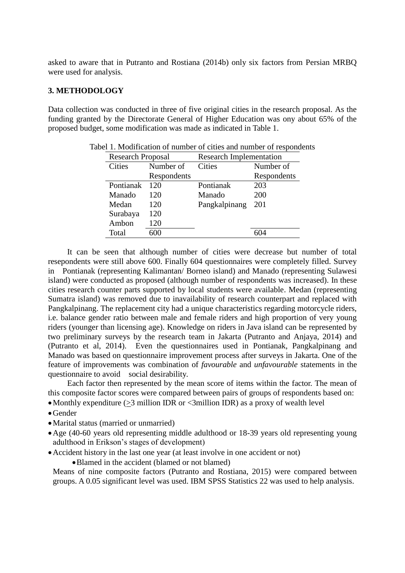asked to aware that in Putranto and Rostiana (2014b) only six factors from Persian MRBQ were used for analysis.

### **3. METHODOLOGY**

Data collection was conducted in three of five original cities in the research proposal. As the funding granted by the Directorate General of Higher Education was ony about 65% of the proposed budget, some modification was made as indicated in Table 1.

| <b>Research Proposal</b> |             | <b>Research Implementation</b> |             |  |
|--------------------------|-------------|--------------------------------|-------------|--|
| Cities                   | Number of   | <b>Cities</b>                  | Number of   |  |
|                          | Respondents |                                | Respondents |  |
| Pontianak                | 120         | Pontianak                      | 203         |  |
| Manado                   | 120         | Manado                         | 200         |  |
| Medan                    | 120         | Pangkalpinang                  | 201         |  |
| Surabaya                 | 120         |                                |             |  |
| Ambon                    | 120         |                                |             |  |
| Total                    |             |                                |             |  |

Tabel 1. Modification of number of cities and number of respondents

It can be seen that although number of cities were decrease but number of total resepondents were still above 600. Finally 604 questionnaires were completely filled. Survey in Pontianak (representing Kalimantan/ Borneo island) and Manado (representing Sulawesi island) were conducted as proposed (although number of respondents was increased). In these cities research counter parts supported by local students were available. Medan (representing Sumatra island) was removed due to inavailability of research counterpart and replaced with Pangkalpinang. The replacement city had a unique characteristics regarding motorcycle riders, i.e. balance gender ratio between male and female riders and high proportion of very young riders (younger than licensing age). Knowledge on riders in Java island can be represented by two preliminary surveys by the research team in Jakarta (Putranto and Anjaya, 2014) and (Putranto et al, 2014). Even the questionnaires used in Pontianak, Pangkalpinang and Manado was based on questionnaire improvement process after surveys in Jakarta. One of the feature of improvements was combination of *favourable* and *unfavourable* statements in the questionnaire to avoid social desirability*.*

Each factor then represented by the mean score of items within the factor. The mean of this composite factor scores were compared between pairs of groups of respondents based on: • Monthly expenditure ( $>3$  million IDR or  $\leq 3$  million IDR) as a proxy of wealth level

- Gender
- Marital status (married or unmarried)
- Age (40-60 years old representing middle adulthood or 18-39 years old representing young adulthood in Erikson's stages of development)
- Accident history in the last one year (at least involve in one accident or not)

Blamed in the accident (blamed or not blamed)

Means of nine composite factors (Putranto and Rostiana, 2015) were compared between groups. A 0.05 significant level was used. IBM SPSS Statistics 22 was used to help analysis.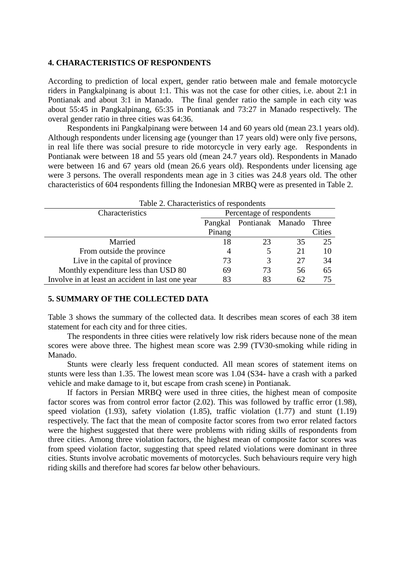#### **4. CHARACTERISTICS OF RESPONDENTS**

According to prediction of local expert, gender ratio between male and female motorcycle riders in Pangkalpinang is about 1:1. This was not the case for other cities, i.e. about 2:1 in Pontianak and about 3:1 in Manado. The final gender ratio the sample in each city was about 55:45 in Pangkalpinang, 65:35 in Pontianak and 73:27 in Manado respectively. The overal gender ratio in three cities was 64:36.

Respondents ini Pangkalpinang were between 14 and 60 years old (mean 23.1 years old). Although respondents under licensing age (younger than 17 years old) were only five persons, in real life there was social presure to ride motorcycle in very early age. Respondents in Pontianak were between 18 and 55 years old (mean 24.7 years old). Respondents in Manado were between 16 and 67 years old (mean 26.6 years old). Respondents under licensing age were 3 persons. The overall respondents mean age in 3 cities was 24.8 years old. The other characteristics of 604 respondents filling the Indonesian MRBQ were as presented in Table 2.

| Table 2. Characteristics of respondents          |                           |                        |    |               |  |
|--------------------------------------------------|---------------------------|------------------------|----|---------------|--|
| Characteristics                                  | Percentage of respondents |                        |    |               |  |
|                                                  | Pangkal                   | Pontianak Manado Three |    |               |  |
|                                                  | Pinang                    |                        |    | <b>Cities</b> |  |
| Married                                          | 18                        | 23                     | 35 | 25            |  |
| From outside the province                        | 4                         | 5                      | 21 | 10            |  |
| Live in the capital of province                  | 73                        | 3                      | 27 | 34            |  |
| Monthly expenditure less than USD 80             | 69                        | 73                     | 56 | 65            |  |
| Involve in at least an accident in last one year | 83                        | 83                     | 62 | 75            |  |

#### **5. SUMMARY OF THE COLLECTED DATA**

Table 3 shows the summary of the collected data. It describes mean scores of each 38 item statement for each city and for three cities.

The respondents in three cities were relatively low risk riders because none of the mean scores were above three. The highest mean score was 2.99 (TV30-smoking while riding in Manado.

Stunts were clearly less frequent conducted. All mean scores of statement items on stunts were less than 1.35. The lowest mean score was 1.04 (S34- have a crash with a parked vehicle and make damage to it, but escape from crash scene) in Pontianak.

If factors in Persian MRBQ were used in three cities, the highest mean of composite factor scores was from control error factor (2.02). This was followed by traffic error (1.98), speed violation (1.93), safety violation (1.85), traffic violation (1.77) and stunt (1.19) respectively. The fact that the mean of composite factor scores from two error related factors were the highest suggested that there were problems with riding skills of respondents from three cities. Among three violation factors, the highest mean of composite factor scores was from speed violation factor, suggesting that speed related violations were dominant in three cities. Stunts involve acrobatic movements of motorcycles. Such behaviours require very high riding skills and therefore had scores far below other behaviours.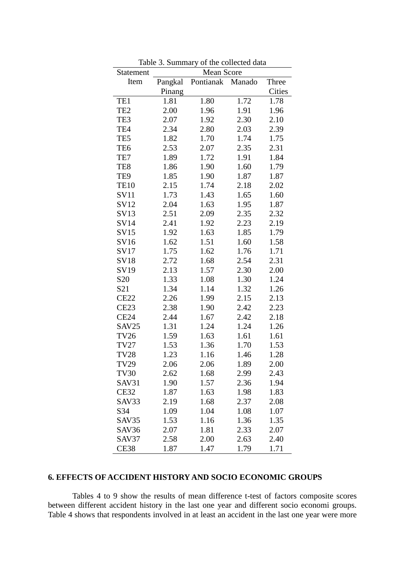| <b>Statement</b> | Mean Score |           |        |               |
|------------------|------------|-----------|--------|---------------|
| Item             | Pangkal    | Pontianak | Manado | Three         |
|                  | Pinang     |           |        | <b>Cities</b> |
| TE1              | 1.81       | 1.80      | 1.72   | 1.78          |
| TE <sub>2</sub>  | 2.00       | 1.96      | 1.91   | 1.96          |
| TE3              | 2.07       | 1.92      | 2.30   | 2.10          |
| TE4              | 2.34       | 2.80      | 2.03   | 2.39          |
| TE5              | 1.82       | 1.70      | 1.74   | 1.75          |
| TE <sub>6</sub>  | 2.53       | 2.07      | 2.35   | 2.31          |
| TE7              | 1.89       | 1.72      | 1.91   | 1.84          |
| TE8              | 1.86       | 1.90      | 1.60   | 1.79          |
| TE9              | 1.85       | 1.90      | 1.87   | 1.87          |
| <b>TE10</b>      | 2.15       | 1.74      | 2.18   | 2.02          |
| <b>SV11</b>      | 1.73       | 1.43      | 1.65   | 1.60          |
| SV12             | 2.04       | 1.63      | 1.95   | 1.87          |
| SV13             | 2.51       | 2.09      | 2.35   | 2.32          |
| <b>SV14</b>      | 2.41       | 1.92      | 2.23   | 2.19          |
| <b>SV15</b>      | 1.92       | 1.63      | 1.85   | 1.79          |
| SV16             | 1.62       | 1.51      | 1.60   | 1.58          |
| <b>SV17</b>      | 1.75       | 1.62      | 1.76   | 1.71          |
| <b>SV18</b>      | 2.72       | 1.68      | 2.54   | 2.31          |
| SV19             | 2.13       | 1.57      | 2.30   | 2.00          |
| S <sub>20</sub>  | 1.33       | 1.08      | 1.30   | 1.24          |
| S21              | 1.34       | 1.14      | 1.32   | 1.26          |
| <b>CE22</b>      | 2.26       | 1.99      | 2.15   | 2.13          |
| <b>CE23</b>      | 2.38       | 1.90      | 2.42   | 2.23          |
| <b>CE24</b>      | 2.44       | 1.67      | 2.42   | 2.18          |
| SAV25            | 1.31       | 1.24      | 1.24   | 1.26          |
| <b>TV26</b>      | 1.59       | 1.63      | 1.61   | 1.61          |
| <b>TV27</b>      | 1.53       | 1.36      | 1.70   | 1.53          |
| <b>TV28</b>      | 1.23       | 1.16      | 1.46   | 1.28          |
| <b>TV29</b>      | 2.06       | 2.06      | 1.89   | 2.00          |
| TV30             | 2.62       | 1.68      | 2.99   | 2.43          |
| SAV31            | 1.90       | 1.57      | 2.36   | 1.94          |
| <b>CE32</b>      | 1.87       | 1.63      | 1.98   | 1.83          |
| SAV33            | 2.19       | 1.68      | 2.37   | 2.08          |
| S34              | 1.09       | 1.04      | 1.08   | 1.07          |
| SAV35            | 1.53       | 1.16      | 1.36   | 1.35          |
| SAV36            | 2.07       | 1.81      | 2.33   | 2.07          |
| SAV37            | 2.58       | 2.00      | 2.63   | 2.40          |
| <b>CE38</b>      | 1.87       | 1.47      | 1.79   | 1.71          |

Table 3. Summary of the collected data

# **6. EFFECTS OF ACCIDENT HISTORY AND SOCIO ECONOMIC GROUPS**

Tables 4 to 9 show the results of mean difference t-test of factors composite scores between different accident history in the last one year and different socio economi groups. Table 4 shows that respondents involved in at least an accident in the last one year were more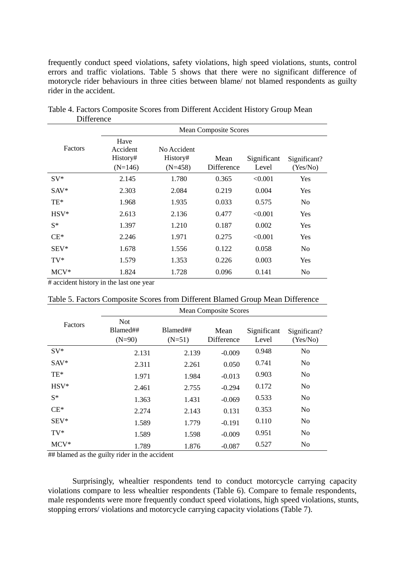frequently conduct speed violations, safety violations, high speed violations, stunts, control errors and traffic violations. Table 5 shows that there were no significant difference of motorycle rider behaviours in three cities between blame/ not blamed respondents as guilty rider in the accident.

|         | <b>Mean Composite Scores</b>              |                                      |                           |                      |                          |
|---------|-------------------------------------------|--------------------------------------|---------------------------|----------------------|--------------------------|
| Factors | Have<br>Accident<br>History#<br>$(N=146)$ | No Accident<br>History#<br>$(N=458)$ | Mean<br><b>Difference</b> | Significant<br>Level | Significant?<br>(Yes/No) |
| $SV^*$  | 2.145                                     | 1.780                                | 0.365                     | < 0.001              | Yes                      |
| $SAV^*$ | 2.303                                     | 2.084                                | 0.219                     | 0.004                | Yes                      |
| $TE*$   | 1.968                                     | 1.935                                | 0.033                     | 0.575                | No                       |
| $HSV*$  | 2.613                                     | 2.136                                | 0.477                     | < 0.001              | Yes                      |
| $S^*$   | 1.397                                     | 1.210                                | 0.187                     | 0.002                | <b>Yes</b>               |
| $CE*$   | 2.246                                     | 1.971                                | 0.275                     | < 0.001              | Yes                      |
| $SEV^*$ | 1.678                                     | 1.556                                | 0.122                     | 0.058                | No                       |
| $TV^*$  | 1.579                                     | 1.353                                | 0.226                     | 0.003                | Yes                      |
| $MCV^*$ | 1.824                                     | 1.728                                | 0.096                     | 0.141                | No                       |

Table 4. Factors Composite Scores from Different Accident History Group Mean **Difference** 

# accident history in the last one year

| Table 5. Factors Composite Scores from Different Blamed Group Mean Difference |  |  |  |
|-------------------------------------------------------------------------------|--|--|--|
|-------------------------------------------------------------------------------|--|--|--|

|         | <b>Mean Composite Scores</b>       |                      |                    |                      |                          |
|---------|------------------------------------|----------------------|--------------------|----------------------|--------------------------|
| Factors | <b>Not</b><br>Blamed##<br>$(N=90)$ | Blamed##<br>$(N=51)$ | Mean<br>Difference | Significant<br>Level | Significant?<br>(Yes/No) |
| $SV^*$  | 2.131                              | 2.139                | $-0.009$           | 0.948                | N <sub>o</sub>           |
| $SAV^*$ | 2.311                              | 2.261                | 0.050              | 0.741                | N <sub>0</sub>           |
| $TE*$   | 1.971                              | 1.984                | $-0.013$           | 0.903                | N <sub>0</sub>           |
| $HSV*$  | 2.461                              | 2.755                | $-0.294$           | 0.172                | N <sub>0</sub>           |
| $S^*$   | 1.363                              | 1.431                | $-0.069$           | 0.533                | N <sub>0</sub>           |
| $CE^*$  | 2.274                              | 2.143                | 0.131              | 0.353                | No                       |
| $SEV^*$ | 1.589                              | 1.779                | $-0.191$           | 0.110                | N <sub>0</sub>           |
| $TV^*$  | 1.589                              | 1.598                | $-0.009$           | 0.951                | N <sub>0</sub>           |
| $MCV^*$ | 1.789                              | 1.876                | $-0.087$           | 0.527                | N <sub>0</sub>           |

## blamed as the guilty rider in the accident

Surprisingly, whealtier respondents tend to conduct motorcycle carrying capacity violations compare to less whealtier respondents (Table 6). Compare to female respondents, male respondents were more frequently conduct speed violations, high speed violations, stunts, stopping errors/ violations and motorcycle carrying capacity violations (Table 7).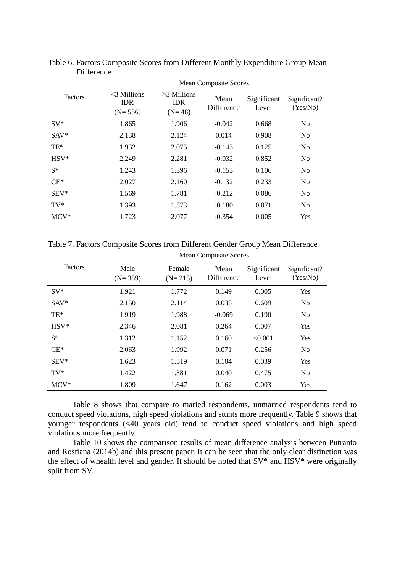|         | <b>Mean Composite Scores</b>              |                                         |                           |                      |                          |
|---------|-------------------------------------------|-----------------------------------------|---------------------------|----------------------|--------------------------|
| Factors | $<$ 3 Millions<br><b>IDR</b><br>$(N=556)$ | $>3$ Millions<br><b>IDR</b><br>$(N=48)$ | Mean<br><b>Difference</b> | Significant<br>Level | Significant?<br>(Yes/No) |
| $SV^*$  | 1.865                                     | 1.906                                   | $-0.042$                  | 0.668                | N <sub>o</sub>           |
| $SAV^*$ | 2.138                                     | 2.124                                   | 0.014                     | 0.908                | N <sub>o</sub>           |
| TE*     | 1.932                                     | 2.075                                   | $-0.143$                  | 0.125                | N <sub>o</sub>           |
| $HSV*$  | 2.249                                     | 2.281                                   | $-0.032$                  | 0.852                | N <sub>0</sub>           |
| $S^*$   | 1.243                                     | 1.396                                   | $-0.153$                  | 0.106                | N <sub>0</sub>           |
| $CE*$   | 2.027                                     | 2.160                                   | $-0.132$                  | 0.233                | N <sub>o</sub>           |
| $SEV^*$ | 1.569                                     | 1.781                                   | $-0.212$                  | 0.086                | N <sub>o</sub>           |
| $TV^*$  | 1.393                                     | 1.573                                   | $-0.180$                  | 0.071                | N <sub>o</sub>           |
| $MCV^*$ | 1.723                                     | 2.077                                   | $-0.354$                  | 0.005                | Yes                      |

Table 6. Factors Composite Scores from Different Monthly Expenditure Group Mean Difference

Table 7. Factors Composite Scores from Different Gender Group Mean Difference

|         |                   |                     | <b>Mean Composite Scores</b> |                      |                          |
|---------|-------------------|---------------------|------------------------------|----------------------|--------------------------|
| Factors | Male<br>$(N=389)$ | Female<br>$(N=215)$ | Mean<br><b>Difference</b>    | Significant<br>Level | Significant?<br>(Yes/No) |
| $SV^*$  | 1.921             | 1.772               | 0.149                        | 0.005                | Yes                      |
| $SAV^*$ | 2.150             | 2.114               | 0.035                        | 0.609                | N <sub>0</sub>           |
| $TE*$   | 1.919             | 1.988               | $-0.069$                     | 0.190                | N <sub>0</sub>           |
| $HSV*$  | 2.346             | 2.081               | 0.264                        | 0.007                | Yes                      |
| $S^*$   | 1.312             | 1.152               | 0.160                        | < 0.001              | Yes                      |
| $CE^*$  | 2.063             | 1.992               | 0.071                        | 0.256                | N <sub>o</sub>           |
| $SEV^*$ | 1.623             | 1.519               | 0.104                        | 0.039                | Yes                      |
| $TV^*$  | 1.422             | 1.381               | 0.040                        | 0.475                | N <sub>o</sub>           |
| $MCV^*$ | 1.809             | 1.647               | 0.162                        | 0.003                | Yes                      |

Table 8 shows that compare to maried respondents, unmarried respondents tend to conduct speed violations, high speed violations and stunts more frequently. Table 9 shows that younger respondents (<40 years old) tend to conduct speed violations and high speed violations more frequently.

Table 10 shows the comparison results of mean difference analysis between Putranto and Rostiana (2014b) and this present paper. It can be seen that the only clear distinction was the effect of whealth level and gender. It should be noted that SV\* and HSV\* were originally split from SV.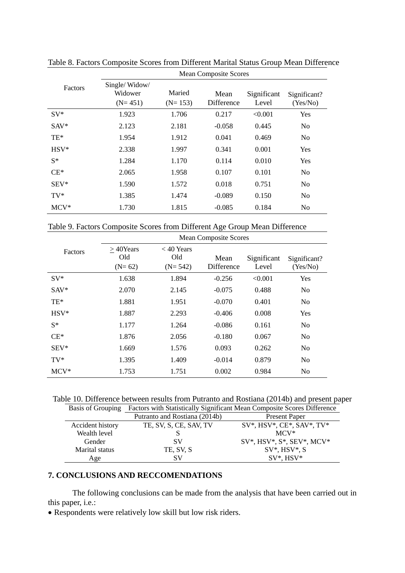|         | <b>Mean Composite Scores</b>          |                     |                    |                      |                          |
|---------|---------------------------------------|---------------------|--------------------|----------------------|--------------------------|
| Factors | Single/Widow/<br>Widower<br>$(N=451)$ | Maried<br>$(N=153)$ | Mean<br>Difference | Significant<br>Level | Significant?<br>(Yes/No) |
| $SV^*$  | 1.923                                 | 1.706               | 0.217              | < 0.001              | Yes                      |
| $SAV^*$ | 2.123                                 | 2.181               | $-0.058$           | 0.445                | N <sub>o</sub>           |
| $TE*$   | 1.954                                 | 1.912               | 0.041              | 0.469                | N <sub>o</sub>           |
| $HSV*$  | 2.338                                 | 1.997               | 0.341              | 0.001                | Yes                      |
| $S^*$   | 1.284                                 | 1.170               | 0.114              | 0.010                | Yes                      |
| $CE*$   | 2.065                                 | 1.958               | 0.107              | 0.101                | N <sub>o</sub>           |
| $SEV^*$ | 1.590                                 | 1.572               | 0.018              | 0.751                | N <sub>o</sub>           |
| $TV^*$  | 1.385                                 | 1.474               | $-0.089$           | 0.150                | N <sub>o</sub>           |
| $MCV^*$ | 1.730                                 | 1.815               | $-0.085$           | 0.184                | No                       |

Table 8. Factors Composite Scores from Different Marital Status Group Mean Difference

Table 9. Factors Composite Scores from Different Age Group Mean Difference

|         |                                |                                  | <b>Mean Composite Scores</b> |                      |                          |
|---------|--------------------------------|----------------------------------|------------------------------|----------------------|--------------------------|
| Factors | $>40$ Years<br>Old<br>$(N=62)$ | $<$ 40 Years<br>Old<br>$(N=542)$ | Mean<br>Difference           | Significant<br>Level | Significant?<br>(Yes/No) |
| $SV^*$  | 1.638                          | 1.894                            | $-0.256$                     | < 0.001              | Yes                      |
| $SAV^*$ | 2.070                          | 2.145                            | $-0.075$                     | 0.488                | N <sub>0</sub>           |
| TE*     | 1.881                          | 1.951                            | $-0.070$                     | 0.401                | N <sub>o</sub>           |
| $HSV*$  | 1.887                          | 2.293                            | $-0.406$                     | 0.008                | Yes                      |
| $S^*$   | 1.177                          | 1.264                            | $-0.086$                     | 0.161                | N <sub>0</sub>           |
| $CE*$   | 1.876                          | 2.056                            | $-0.180$                     | 0.067                | N <sub>o</sub>           |
| $SEV^*$ | 1.669                          | 1.576                            | 0.093                        | 0.262                | N <sub>0</sub>           |
| $TV^*$  | 1.395                          | 1.409                            | $-0.014$                     | 0.879                | N <sub>o</sub>           |
| $MCV^*$ | 1.753                          | 1.751                            | 0.002                        | 0.984                | No                       |

Table 10. Difference between results from Putranto and Rostiana (2014b) and present paper

| <b>Basis of Grouping</b> | Factors with Statistically Significant Mean Composite Scores Difference |                                   |  |  |
|--------------------------|-------------------------------------------------------------------------|-----------------------------------|--|--|
|                          | Putranto and Rostiana (2014b)                                           | <b>Present Paper</b>              |  |  |
| Accident history         | TE, SV, S, CE, SAV, TV                                                  | $SV^*$ , HSV*, CE*, SAV*, TV*     |  |  |
| Wealth level             |                                                                         | $MCV^*$                           |  |  |
| Gender                   | SV                                                                      | $SV^*$ , HSV*, $S^*$ , SEV*, MCV* |  |  |
| Marital status           | TE, SV, S                                                               | $SV^*$ , HSV*, S                  |  |  |
| Age                      | SV                                                                      | $SV^*$ , $HSV^*$                  |  |  |

# **7. CONCLUSIONS AND RECCOMENDATIONS**

The following conclusions can be made from the analysis that have been carried out in this paper, i.e.:

Respondents were relatively low skill but low risk riders.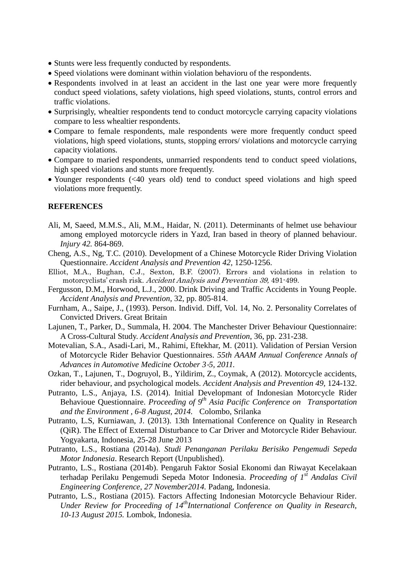- Stunts were less frequently conducted by respondents.
- Speed violations were dominant within violation behavioru of the respondents.
- Respondents involved in at least an accident in the last one year were more frequently conduct speed violations, safety violations, high speed violations, stunts, control errors and traffic violations.
- Surprisingly, whealtier respondents tend to conduct motorcycle carrying capacity violations compare to less whealtier respondents.
- Compare to female respondents, male respondents were more frequently conduct speed violations, high speed violations, stunts, stopping errors/ violations and motorcycle carrying capacity violations.
- Compare to maried respondents, unmarried respondents tend to conduct speed violations, high speed violations and stunts more frequently.
- Younger respondents (<40 years old) tend to conduct speed violations and high speed violations more frequently.

#### **REFERENCES**

- Ali, M, Saeed, M.M.S., Ali, M.M., Haidar, N. (2011). Determinants of helmet use behaviour among employed motorcycle riders in Yazd, Iran based in theory of planned behaviour. *Injury 42.* 864-869.
- Cheng, A.S., Ng, T.C. (2010). Development of a Chinese Motorcycle Rider Driving Violation Questionnaire. *Accident Analysis and Prevention 42,* 1250-1256.
- Elliot, M.A., Bughan, C.J., Sexton, B.F. (2007). Errors and violations in relation to motorcyclists' crash risk. Accident Analysis and Prevention 39, 491-499.
- Fergusson, D.M., Horwood, L.J., 2000. Drink Driving and Traffic Accidents in Young People. *Accident Analysis and Prevention,* 32, pp. 805-814.
- Furnham, A., Saipe, J., (1993). Person. Individ. Diff, Vol. 14, No. 2. Personality Correlates of Convicted Drivers. Great Britain
- Lajunen, T., Parker, D., Summala, H. 2004. The Manchester Driver Behaviour Questionnaire: A Cross-Cultural Study. *Accident Analysis and Prevention*, 36, pp. 231-238.
- Motevalian, S.A., Asadi-Lari, M., Rahimi, Eftekhar, M. (2011). Validation of Persian Version of Motorcycle Rider Behavior Questionnaires. *55th AAAM Annual Conference Annals of Advances in Automotive Medicine October 3*‐*5, 2011.*
- Ozkan, T., Lajunen, T., Dogruyol, B., Yildirim, Z., Coymak, A (2012). Motorcycle accidents, rider behaviour, and psychological models. *Accident Analysis and Prevention 49,* 124-132.
- Putranto, L.S., Anjaya, I.S. (2014). Initial Developmant of Indonesian Motorcycle Rider Behavioue Questionnaire. *Proceeding of 9th Asia Pacific Conference on Transportation and the Environment , 6-8 August, 2014.* Colombo, Srilanka
- Putranto, L.S, Kurniawan, J. (2013). 13th International Conference on Quality in Research (QiR). The Effect of External Disturbance to Car Driver and Motorcycle Rider Behaviour. Yogyakarta, Indonesia, 25-28 June 2013
- Putranto, L.S., Rostiana (2014a). *Studi Penanganan Perilaku Berisiko Pengemudi Sepeda Motor Indonesia*. Research Report (Unpublished).
- Putranto, L.S., Rostiana (2014b). Pengaruh Faktor Sosial Ekonomi dan Riwayat Kecelakaan terhadap Perilaku Pengemudi Sepeda Motor Indonesia. *Proceeding of 1st Andalas Civil Engineering Conference, 27 November2014.* Padang, Indonesia.
- Putranto, L.S., Rostiana (2015). Factors Affecting Indonesian Motorcycle Behaviour Rider. *Under Review for Proceeding of 14thInternational Conference on Quality in Research, 10-13 August 2015.* Lombok, Indonesia.